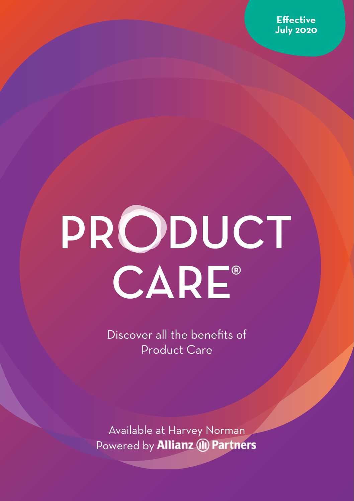

# PRODUCT CARE®

Discover all the benefits of Product Care

Available at Harvey Norman Powered by **Allianz** (II) Partners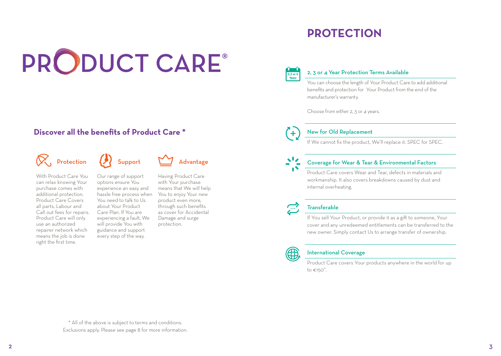# PRODUCT CARE®

## **Discover all the benefits of Product Care \***

# $\left\langle \bigotimes \right\rangle$ , Protection  $\left\langle \bigotimes \right\rangle$  Support  $\sum_{n=1}^{\infty}$  Advantage

With Product Care You can relax knowing Your purchase comes with additional protection. Product Care Covers all parts, Labour and Call out fees for repairs. Product Care will only use an authorized repairer network which means the job is done right the first time.

Our range of support options ensure You experience an easy and hassle free process when You need to talk to Us about Your Product Care Plan. If You are experiencing a fault, We will provide You with guidance and support every step of the way.

Having Product Care with Your purchase means that We will help You to enjoy Your new product even more, through such benefits as cover for Accidental Damage and surge protection.

## **PROTECTION**



#### 2, 3 or 4 Year Protection Terms Available

You can choose the length of Your Product Care to add additional benefits and protection for Your Product from the end of the manufacturer's warranty.

Choose from either 2, 3 or 4 years.



#### New for Old Replacement

If We cannot fix the product, We'll replace it. SPEC for SPEC.

#### Coverage for Wear & Tear & Environmental Factors

Product Care covers Wear and Tear, defects in materials and workmanship. It also covers breakdowns caused by dust and internal overheating.

#### **Transferable**

If You sell Your Product, or provide it as a gift to someone, Your cover and any unredeemed entitlements can be transferred to the new owner. Simply contact Us to arrange transfer of ownership.



#### International Coverage

Product Care covers Your products anywhere in the world for up to  $\epsilon$ 150<sup>^</sup>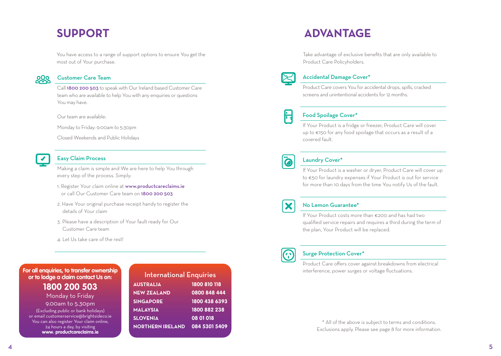## **SUPPORT**

You have access to a range of support options to ensure You get the most out of Your purchase.



#### Customer Care Team

Call 1800 200 503 to speak with Our Ireland based Customer Care team who are available to help You with any enquiries or questions You may have.

Our team are available:

Monday to Friday: 9:00am to 5:30pm

Closed Weekends and Public Holidays



#### Easy Claim Process

Making a claim is simple and We are here to help You through every step of the process. Simply:

- 1. Register Your claim online at www.productcareclaims.ie or call Our Customer Care team on 1800 200 503
- 2. Have Your original purchase receipt handy to register the details of Your claim
- 3. Please have a description of Your fault ready for Our Customer Care team
- 4. Let Us take care of the rest!

#### **For all enquiries, to transfer ownership or to lodge a claim contact Us on:**

**1800 200 503** Monday to Friday

9.00am to 5.30pm (Excluding public or bank holidays) or email customerservice@brightsideco.ie You can also register Your claim online, 24 hours a day, by visiting **www. productcareclaims.ie**

| <b>International Enquiries</b> |               |
|--------------------------------|---------------|
| <b>AUSTRALIA</b>               | 1800 810 118  |
| <b>NEW ZEALAND</b>             | 0800 848 444  |
| <b>SINGAPORE</b>               | 1800 438 6393 |
| <b>MALAYSIA</b>                | 1800 882 238  |
| <b>SLOVENIA</b>                | 08 01 018     |
| <b>NORTHERN IRELAND</b>        | 084 5301 5409 |
|                                |               |

## **ADVANTAGE**

Take advantage of exclusive benefits that are only available to Product Care Policyholders.



#### Accidental Damage Cover\*

Product Care covers You for accidental drops, spills, cracked screens and unintentional accidents for 12 months.



#### Food Spoilage Cover\*

If Your Product is a fridge or freezer, Product Care will cover up to €150 for any food spoilage that occurs as a result of a covered fault.



#### Laundry Cover\*

If Your Product is a washer or dryer, Product Care will cover up to €50 for laundry expenses if Your Product is out for service for more than 10 days from the time You notify Us of the fault.



#### No Lemon Guarantee\*

If Your Product costs more than €200 and has had two qualified service repairs and requires a third during the term of the plan, Your Product will be replaced.



#### Surge Protection Cover\*

Product Care offers cover against breakdowns from electrical interference, power surges or voltage fluctuations.

> \* All of the above is subject to terms and conditions. Exclusions apply. Please see page 8 for more information.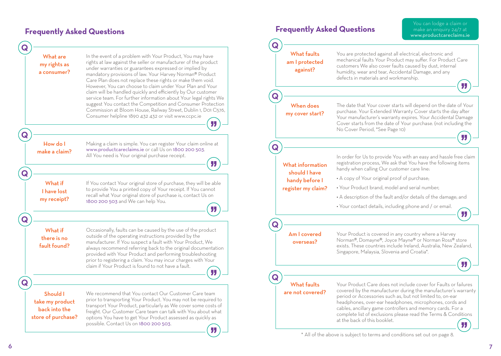#### You can lodge a claim or **Frequently Asked Questions Frequently Asked Questions** make an enquiry 24/7 at www.productcareclaims.ie **Q Q** What faults You are protected against all electrical, electronic and What are In the event of a problem with Your Product, You may have mechanical faults Your Product may suffer. For Product Care am I protected rights at law against the seller or manufacturer of the product my rights as customers We also cover faults caused by dust, internal under warranties or guarantees expressed or implied by against? a consumer? humidity, wear and tear, Accidental Damage, and any mandatory provisions of law. Your Harvey Norman® Product defects in materials and workmanship. Care Plan does not replace these rights or make them void. **JJ** However, You can choose to claim under Your Plan and Your claim will be handled quickly and efficiently by Our customer **Q** service team. For further information about Your legal rights We suggest You contact the Competition and Consumer Protection When does The date that Your cover starts will depend on the date of Your Commission at Bloom House, Railway Street, Dublin 1, D01 C576, purchase. Your Extended Warranty Cover starts the day after my cover start? Consumer helpline 1890 432 432 or visit www.ccpc.ie Your manufacturer's warranty expires. Your Accidental Damage " Cover starts from the date of Your purchase. (not including the No Cover Period, \*See Page 10) **Q** " How do I Making a claim is simple. You can register Your claim online at **Q** www.productcareclaims.ie or call Us on 1800 200 503. make a claim? All You need is Your original purchase receipt. In order for Us to provide You with an easy and hassle free claim " registration process, We ask that You have the following items What information handy when calling Our customer care line: should I have **Q** • A copy of Your original proof of purchase; handy before I What if If You contact Your original store of purchase, they will be able • Your Product brand, model and serial number; to provide You a printed copy of Your receipt. If You cannot register my claim? I have lost recall what Your original store of purchase is, contact Us on • A description of the fault and/or details of the damage; and my receipt? 1800 200 503 and We can help You. • Your contact details, including phone and / or email. " " **Q Q** What if Occasionally, faults can be caused by the use of the product Am I covered Your Product is covered in any country where a Harvey outside of the operating instructions provided by the there is no Norman®, Domayne®, Joyce Mayne® or Norman Ross® store manufacturer. If You suspect a fault with Your Product, We overseas? fault found? exists. These countries include Ireland, Australia, New Zealand, always recommend referring back to the original documentation Singapore, Malaysia, Slovenia and Croatia\*. provided with Your Product and performing troubleshooting prior to registering a claim. You may incur charges with Your " claim if Your Product is found to not have a fault. " **Q Q**What faults Your Product Care does not include cover for Faults or failures covered by the manufacturer during the manufacturer's warranty are not covered? Should I We recommend that You contact Our Customer Care team period or Accessories such as, but not limited to, on-ear prior to transporting Your Product. You may not be required to take my product headphones, over-ear headphones, microphones, cords and transport Your Product, particularly as We cover some costs of cables, ancillary game controllers and memory cards. For a back into the freight. Our Customer Care team can talk with You about what complete list of exclusions please read the Terms & Conditions store of purchase? options You have to get Your Product assessed as quickly as at the back of this booklet. possible. Contact Us on 1800 200 503. " \* All of the above is subject to terms and conditions set out on page 8.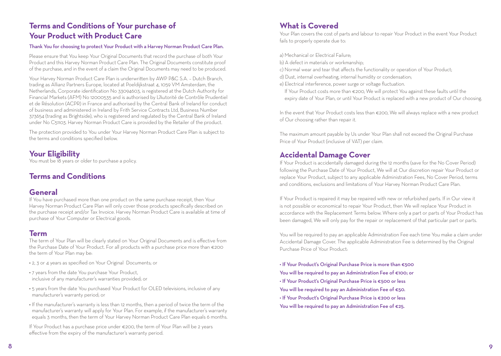## **Terms and Conditions of Your purchase of Your Product with Product Care**

#### Thank You for choosing to protect Your Product with a Harvey Norman Product Care Plan.

Please ensure that You keep Your Original Documents that record the purchase of both Your Product and this Harvey Norman Product Care Plan. The Original Documents constitute proof of the purchase, and in the event of a claim the Original Documents may need to be produced.

Your Harvey Norman Product Care Plan is underwritten by AWP P&C S.A. – Dutch Branch, trading as Allianz Partners Europe, located at Poeldijkstraat 4, 1059 VM Amsterdam, the Netherlands, Corporate identification No 33094603, is registered at the Dutch Authority for Financial Markets (AFM) No 12000535 and is authorised by L'Autorité de Contrôle Prudentiel et de Résolution (ACPR) in France and authorised by the Central Bank of Ireland for conduct of business and administered in Ireland by Frith Service Contracts Ltd, Business Number 373654 (trading as Brightside), who is registered and regulated by the Central Bank of Ireland under No C51103. Harvey Norman Product Care is provided by the Retailer of the product.

The protection provided to You under Your Harvey Norman Product Care Plan is subject to the terms and conditions specified below.

## **Your Eligibility**

You must be 18 years or older to purchase a policy.

## **Terms and Conditions**

#### **General**

If You have purchased more than one product on the same purchase receipt, then Your Harvey Norman Product Care Plan will only cover those products specifically described on the purchase receipt and/or Tax Invoice. Harvey Norman Product Care is available at time of purchase of Your Computer or Electrical goods.

#### **Term**

The term of Your Plan will be clearly stated on Your Original Documents and is effective from the Purchase Date of Your Product. For all products with a purchase price more than €200 the term of Your Plan may be:

- 2, 3 or 4 years as specified on Your Original Documents; or
- 7 years from the date You purchase Your Product, inclusive of any manufacturer's warranties provided; or
- 5 years from the date You purchased Your Product for OLED televisions, inclusive of any manufacturer's warranty period; or
- If the manufacturer's warranty is less than 12 months, then a period of twice the term of the manufacturer's warranty will apply for Your Plan. For example, if the manufacturer's warranty equals 3 months, then the term of Your Harvey Norman Product Care Plan equals 6 months.

If Your Product has a purchase price under €200, the term of Your Plan will be 2 years effective from the expiry of the manufacturer's warranty period.

## **What is Covered**

Your Plan covers the cost of parts and labour to repair Your Product in the event Your Product fails to properly operate due to:

a) Mechanical or Electrical Failure;

- b) A defect in materials or workmanship;
- c) Normal wear and tear that affects the functionality or operation of Your Product;
- d) Dust, internal overheating, internal humidity or condensation;
- e) Electrical interference, power surge or voltage fluctuation.
	- If Your Product costs more than €200, We will protect You against these faults until the expiry date of Your Plan, or until Your Product is replaced with a new product of Our choosing.

In the event that Your Product costs less than €200, We will always replace with a new product of Our choosing rather than repair it.

The maximum amount payable by Us under Your Plan shall not exceed the Original Purchase Price of Your Product (inclusive of VAT) per claim.

## **Accidental Damage Cover**

If Your Product is accidentally damaged during the 12 months (save for the No Cover Period) following the Purchase Date of Your Product, We will at Our discretion repair Your Product or replace Your Product, subject to any applicable Administration Fees, No Cover Period, terms and conditions, exclusions and limitations of Your Harvey Norman Product Care Plan.

If Your Product is repaired it may be repaired with new or refurbished parts. If in Our view it is not possible or economical to repair Your Product, then We will replace Your Product in accordance with the Replacement Terms below. Where only a part or parts of Your Product has been damaged, We will only pay for the repair or replacement of that particular part or parts.

You will be required to pay an applicable Administration Fee each time You make a claim under Accidental Damage Cover. The applicable Administration Fee is determined by the Original Purchase Price of Your Product:

• If Your Product's Original Purchase Price is more than €500 You will be required to pay an Administration Fee of €100; or • If Your Product's Original Purchase Price is €500 or less You will be required to pay an Administration Fee of €50. • If Your Product's Original Purchase Price is €200 or less You will be required to pay an Administration Fee of €25.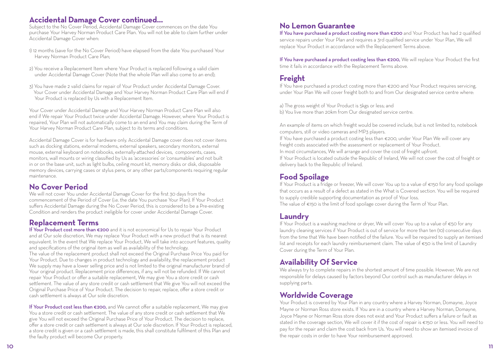#### **Accidental Damage Cover continued...**

Subject to the No Cover Period, Accidental Damage Cover commences on the date You purchase Your Harvey Norman Product Care Plan. You will not be able to claim further under Accidental Damage Cover when:

- 1) 12 months (save for the No Cover Period) have elapsed from the date You purchased Your Harvey Norman Product Care Plan;
- 2) You receive a Replacement Item where Your Product is replaced following a valid claim under Accidental Damage Cover (Note that the whole Plan will also come to an end);
- 3) You have made 2 valid claims for repair of Your Product under Accidental Damage Cover. Your Cover under Accidental Damage and Your Harvey Norman Product Care Plan will end if Your Product is replaced by Us with a Replacement Item.

Your Cover under Accidental Damage and Your Harvey Norman Product Care Plan will also end if We repair Your Product twice under Accidental Damage. However, where Your Product is repaired, Your Plan will not automatically come to an end and You may claim during the Term of Your Harvey Norman Product Care Plan, subject to its terms and conditions.

Accidental Damage Cover is for hardware only. Accidental Damage cover does not cover items such as docking stations, external modems, external speakers, secondary monitors, external mouse, external keyboard on notebooks, externally-attached devices, components, cases, monitors, wall mounts or wiring classified by Us as 'accessories' or 'consumables' and not built in or on the base unit, such as light bulbs, ceiling mount kit, memory disks or disk, disposable memory devices, carrying cases or stylus pens, or any other parts/components requiring regular maintenance.

#### **No Cover Period**

We will not cover You under Accidental Damage Cover for the first 30 days from the commencement of the Period of Cover (i.e. the date You purchase Your Plan). If Your Product suffers Accidental Damage during the No Cover Period, this is considered to be a Pre-existing Condition and renders the product ineligible for cover under Accidental Damage Cover.

## **Replacement Terms**

If Your Product cost more than €200 and it is not economical for Us to repair Your Product and at Our sole discretion, We may replace Your Product with a new product that is its nearest equivalent. In the event that We replace Your Product, We will take into account features, quality and specifications of the original item as well as availability of the technology. The value of the replacement product shall not exceed the Original Purchase Price You paid for Your Product. Due to changes in product technology and availability, the replacement product We supply may have a lower selling price and is not limited to the original manufacturer brand of Your original product. Replacement price differences, if any, will not be refunded. If We cannot repair Your Product or offer a suitable replacement, We may give You a store credit or cash settlement. The value of any store credit or cash settlement that We give You will not exceed the Original Purchase Price of Your Product. The decision to repair, replace, offer a store credit or cash settlement is always at Our sole discretion.

If Your Product cost less than €200, and We cannot offer a suitable replacement, We may give You a store credit or cash settlement. The value of any store credit or cash settlement that We give You will not exceed the Original Purchase Price of Your Product. The decision to replace, offer a store credit or cash settlement is always at Our sole discretion. If Your Product is replaced, a store credit is given or a cash settlement is made, this shall constitute fulfilment of this Plan and the faulty product will become Our property.

## **No Lemon Guarantee**

If You have purchased a product costing more than €200 and Your Product has had 2 qualified service repairs under Your Plan and requires a 3rd qualified service under Your Plan, We will replace Your Product in accordance with the Replacement Terms above.

If You have purchased a product costing less than €200, We will replace Your Product the first time it fails in accordance with the Replacement Terms above.

## **Freight**

If You have purchased a product costing more than €200 and Your Product requires servicing, under Your Plan We will cover freight both to and from Our designated service centre where:

a) The gross weight of Your Product is 5kgs or less; and b) You live more than 20km from Our designated service centre.

An example of items on which freight would be covered include, but is not limited to, notebook computers, still or video cameras and MP3 players.

If You have purchased a product costing less than €200, under Your Plan We will cover any freight costs associated with the assessment or replacement of Your Product.

In most circumstances, We will arrange and cover the cost of freight upfront.

If Your Product is located outside the Republic of Ireland, We will not cover the cost of freight or delivery back to the Republic of Ireland.

## **Food Spoilage**

If Your Product is a fridge or freezer, We will cover You up to a value of €150 for any food spoilage that occurs as a result of a defect as stated in the What is Covered section. You will be required to supply credible supporting documentation as proof of Your loss.

The value of €150 is the limit of food spoilage cover during the Term of Your Plan.

## **Laundry**

If Your Product is a washing machine or dryer, We will cover You up to a value of €50 for any laundry cleaning services if Your Product is out of service for more than ten (10) consecutive days from the time that We have been notified of the failure. You will be required to supply an itemised list and receipts for each laundry reimbursement claim. The value of €50 is the limit of Laundry Cover during the Term of Your Plan.

## **Availability Of Service**

We always try to complete repairs in the shortest amount of time possible. However, We are not responsible for delays caused by factors beyond Our control such as manufacturer delays in supplying parts.

## **Worldwide Coverage**

Your Product is covered by Your Plan in any country where a Harvey Norman, Domayne, Joyce Mayne or Norman Ross store exists. If You are in a country where a Harvey Norman, Domayne, Joyce Mayne or Norman Ross store does not exist and Your Product suffers a failure or fault as stated in the coverage section, We will cover it if the cost of repair is €150 or less. You will need to pay for the repair and claim the cost back from Us. You will need to show an itemised invoice of the repair costs in order to have Your reimbursement approved.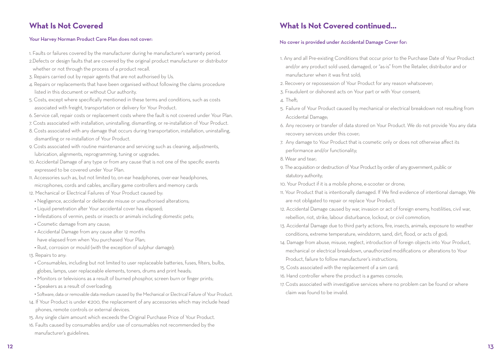## **What Is Not Covered**

#### Your Harvey Norman Product Care Plan does not cover:

- 1. Faults or failures covered by the manufacturer during he manufacturer's warranty period.
- 2.Defects or design faults that are covered by the original product manufacturer or distributor whether or not through the process of a product recall.
- 3. Repairs carried out by repair agents that are not authorised by Us.
- 4. Repairs or replacements that have been organised without following the claims procedure listed in this document or without Our authority.
- 5. Costs, except where specifically mentioned in these terms and conditions, such as costs associated with freight, transportation or delivery for Your Product.
- 6. Service call, repair costs or replacement costs where the fault is not covered under Your Plan.
- 7. Costs associated with installation, uninstalling, dismantling, or re-installation of Your Product.
- 8. Costs associated with any damage that occurs during transportation, installation, uninstalling, dismantling or re-installation of Your Product.
- 9. Costs associated with routine maintenance and servicing such as cleaning, adjustments, lubrication, alignments, reprogramming, tuning or upgrades.
- 10. Accidental Damage of any type or from any cause that is not one of the specific events expressed to be covered under Your Plan.
- 11. Accessories such as, but not limited to, on-ear headphones, over-ear headphones, microphones, cords and cables, ancillary game controllers and memory cards
- 12. Mechanical or Electrical Failures of Your Product caused by:
	- Negligence, accidental or deliberate misuse or unauthorised alterations;
	- Liquid penetration after Your accidental cover has elapsed;
	- Infestations of vermin, pests or insects or animals including domestic pets;
	- Cosmetic damage from any cause;
	- Accidental Damage from any cause after 12 months
	- have elapsed from when You purchased Your Plan;
	- Rust, corrosion or mould (with the exception of sulphur damage);
- 13. Repairs to any:
- Consumables, including but not limited to user replaceable batteries, fuses, filters, bulbs, globes, lamps, user replaceable elements, toners, drums and print heads;
- Monitors or televisions as a result of burned phosphor, screen burn or finger prints;
- Speakers as a result of overloading;
- Software, data or removable data medium caused by the Mechanical or Electrical Failure of Your Product.
- 14. If Your Product is under €200, the replacement of any accessories which may include head phones, remote controls or external devices.
- 15. Any single claim amount which exceeds the Original Purchase Price of Your Product.
- 16. Faults caused by consumables and/or use of consumables not recommended by the manufacturer's guidelines.

## **What Is Not Covered continued...**

#### No cover is provided under Accidental Damage Cover for:

- 1. Any and all Pre-existing Conditions that occur prior to the Purchase Date of Your Product and/or any product sold used, damaged, or "as-is" from the Retailer, distributor and or manufacturer when it was first sold;
- 2. Recovery or repossession of Your Product for any reason whatsoever;
- 3. Fraudulent or dishonest acts on Your part or with Your consent;
- 4. Theft;
- 5. Failure of Your Product caused by mechanical or electrical breakdown not resulting from Accidental Damage;
- 6. Any recovery or transfer of data stored on Your Product. We do not provide You any data recovery services under this cover;
- 7. Any damage to Your Product that is cosmetic only or does not otherwise affect its performance and/or functionality;
- 8. Wear and tear;
- 9. The acquisition or destruction of Your Product by order of any government, public or statutory authority;
- 10. Your Product if it is a mobile phone, e-scooter or drone;
- 11. Your Product that is intentionally damaged. If We find evidence of intentional damage, We are not obligated to repair or replace Your Product;
- 12. Accidental Damage caused by war, invasion or act of foreign enemy, hostilities, civil war, rebellion, riot, strike, labour disturbance, lockout, or civil commotion;
- 13. Accidental Damage due to third party actions, fire, insects, animals, exposure to weather conditions, extreme temperature, windstorm, sand, dirt, flood, or acts of god;
- 14. Damage from abuse, misuse, neglect, introduction of foreign objects into Your Product, mechanical or electrical breakdown, unauthorized modifications or alterations to Your Product, failure to follow manufacturer's instructions;
- 15. Costs associated with the replacement of a sim card;
- 16. Hand controller where the product is a games console;
- 17. Costs associated with investigative services where no problem can be found or where claim was found to be invalid.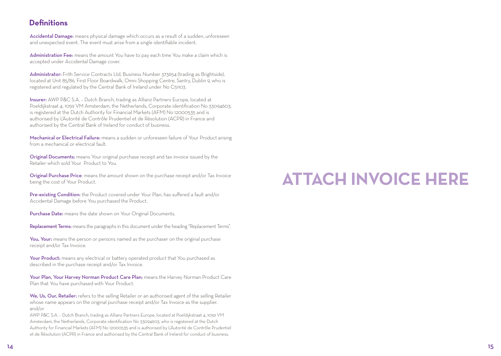## **Definitions**

Accidental Damage: means physical damage which occurs as a result of a sudden, unforeseen and unexpected event. The event must arise from a single identifiable incident.

Administration Fee: means the amount You have to pay each time You make a claim which is accepted under Accidental Damage cover.

Administrator: Frith Service Contracts Ltd, Business Number 373654 (trading as Brightside), located at Unit 85/86, First Floor Boardwalk, Omni Shopping Centre, Santry, Dublin 9, who is registered and regulated by the Central Bank of Ireland under No C51103.

Insurer: AWP P&C S.A. – Dutch Branch, trading as Allianz Partners Europe, located at Poeldijkstraat 4, 1059 VM Amsterdam, the Netherlands, Corporate identification No 33094603, is registered at the Dutch Authority for Financial Markets (AFM) No 12000535 and is authorised by L'Autorité de Contrôle Prudentiel et de Résolution (ACPR) in France and authorised by the Central Bank of Ireland for conduct of business.

Mechanical or Electrical Failure: means a sudden or unforeseen failure of Your Product arising from a mechanical or electrical fault.

Original Documents: means Your original purchase receipt and tax invoice issued by the Retailer which sold Your Product to You.

Original Purchase Price: means the amount shown on the purchase receipt and/or Tax Invoice being the cost of Your Product.

Pre-existing Condition: the Product covered under Your Plan, has suffered a fault and/or Accidental Damage before You purchased the Product.

Purchase Date: means the date shown on Your Original Documents.

Replacement Terms: means the paragraphs in this document under the heading "Replacement Terms".

You, Your: means the person or persons named as the purchaser on the original purchase receipt and/or Tax Invoice.

Your Product: means any electrical or battery operated product that You purchased as described in the purchase receipt and/or Tax Invoice.

Your Plan, Your Harvey Norman Product Care Plan: means the Harvey Norman Product Care Plan that You have purchased with Your Product.

We, Us, Our, Retailer: refers to the selling Retailer or an authorised agent of the selling Retailer whose name appears on the original purchase receipt and/or Tax Invoice as the supplier. and/or

AWP P&C S.A. – Dutch Branch, trading as Allianz Partners Europe, located at Poeldijkstraat 4, 1059 VM Amsterdam, the Netherlands, Corporate identification No 33094603, who is registered at the Dutch Authority for Financial Markets (AFM) No 12000535 and is authorised by L'Autorité de Contrôle Prudentiel et de Résolution (ACPR) in France and authorised by the Central Bank of Ireland for conduct of business.

# **ATTACH INVOICE HERE**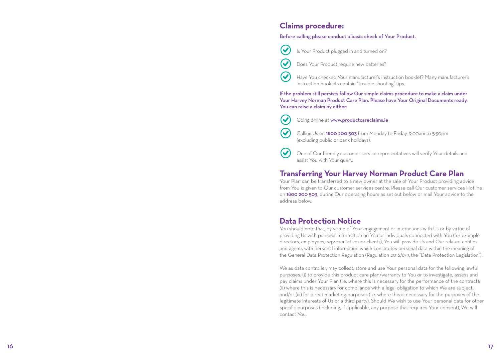#### **Claims procedure:**

#### Before calling please conduct a basic check of Your Product.

Is Your Product plugged in and turned on?



 $\bm{\mathcal{U}}$ 

 $\boldsymbol{\omega}$ 

 $\blacktriangledown$ 

 $\blacktriangledown$ 

 $\blacktriangledown$ 

Does Your Product require new batteries?

Have You checked Your manufacturer's instruction booklet? Many manufacturer's instruction booklets contain "trouble shooting" tips.

If the problem still persists follow Our simple claims procedure to make a claim under Your Harvey Norman Product Care Plan. Please have Your Original Documents ready. You can raise a claim by either:

- Going online at www.productcareclaims.ie
- Calling Us on 1800 200 503 from Monday to Friday, 9:00am to 5:30pm (excluding public or bank holidays).
- One of Our friendly customer service representatives will verify Your details and assist You with Your query.

#### **Transferring Your Harvey Norman Product Care Plan**

Your Plan can be transferred to a new owner at the sale of Your Product providing advice from You is given to Our customer services centre. Please call Our customer services Hotline on 1800 200 503, during Our operating hours as set out below or mail Your advice to the address below.

## **Data Protection Notice**

You should note that, by virtue of Your engagement or interactions with Us or by virtue of providing Us with personal information on You or individuals connected with You (for example directors, employees, representatives or clients), You will provide Us and Our related entities and agents with personal information which constitutes personal data within the meaning of the General Data Protection Regulation (Regulation 2016/679, the "Data Protection Legislation").

We as data controller, may collect, store and use Your personal data for the following lawful purposes: (i) to provide this product care plan/warranty to You or to investigate, assess and pay claims under Your Plan (i.e. where this is necessary for the performance of the contract); (ii) where this is necessary for compliance with a legal obligation to which We are subject; and/or (iii) for direct marketing purposes (i.e. where this is necessary for the purposes of the legitimate interests of Us or a third party). Should We wish to use Your personal data for other specific purposes (including, if applicable, any purpose that requires Your consent), We will contact You.